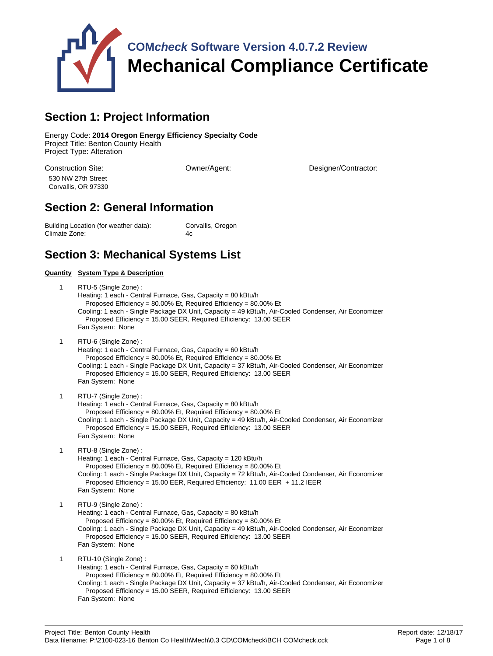

# **Section 1: Project Information**

Energy Code: **2014 Oregon Energy Efficiency Specialty Code** Project Title: Benton County Health Project Type: Alteration

530 NW 27th Street Corvallis, OR 97330

Construction Site: Owner/Agent: Designer/Contractor:

## **Section 2: General Information**

Building Location (for weather data): Corvallis, Oregon Climate Zone: 4c

## **Section 3: Mechanical Systems List**

#### **Quantity System Type & Description** 1 RTU-5 (Single Zone) : Heating: 1 each - Central Furnace, Gas, Capacity = 80 kBtu/h Proposed Efficiency = 80.00% Et, Required Efficiency = 80.00% Et Cooling: 1 each - Single Package DX Unit, Capacity = 49 kBtu/h, Air-Cooled Condenser, Air Economizer Proposed Efficiency = 15.00 SEER, Required Efficiency: 13.00 SEER Fan System: None 1 RTU-6 (Single Zone) : Heating: 1 each - Central Furnace, Gas, Capacity = 60 kBtu/h Proposed Efficiency = 80.00% Et, Required Efficiency = 80.00% Et Cooling: 1 each - Single Package DX Unit, Capacity = 37 kBtu/h, Air-Cooled Condenser, Air Economizer Proposed Efficiency = 15.00 SEER, Required Efficiency: 13.00 SEER Fan System: None 1 RTU-7 (Single Zone) : Heating: 1 each - Central Furnace, Gas, Capacity = 80 kBtu/h Proposed Efficiency = 80.00% Et, Required Efficiency = 80.00% Et Cooling: 1 each - Single Package DX Unit, Capacity = 49 kBtu/h, Air-Cooled Condenser, Air Economizer Proposed Efficiency = 15.00 SEER, Required Efficiency: 13.00 SEER Fan System: None 1 RTU-8 (Single Zone) : Heating: 1 each - Central Furnace, Gas, Capacity = 120 kBtu/h Proposed Efficiency = 80.00% Et, Required Efficiency = 80.00% Et Cooling: 1 each - Single Package DX Unit, Capacity = 72 kBtu/h, Air-Cooled Condenser, Air Economizer Proposed Efficiency = 15.00 EER, Required Efficiency: 11.00 EER + 11.2 IEER Fan System: None 1 RTU-9 (Single Zone) : Heating: 1 each - Central Furnace, Gas, Capacity = 80 kBtu/h Proposed Efficiency = 80.00% Et, Required Efficiency = 80.00% Et Cooling: 1 each - Single Package DX Unit, Capacity = 49 kBtu/h, Air-Cooled Condenser, Air Economizer Proposed Efficiency = 15.00 SEER, Required Efficiency: 13.00 SEER Fan System: None 1 RTU-10 (Single Zone) : Heating: 1 each - Central Furnace, Gas, Capacity = 60 kBtu/h Proposed Efficiency = 80.00% Et, Required Efficiency = 80.00% Et Cooling: 1 each - Single Package DX Unit, Capacity = 37 kBtu/h, Air-Cooled Condenser, Air Economizer Proposed Efficiency = 15.00 SEER, Required Efficiency: 13.00 SEER Fan System: None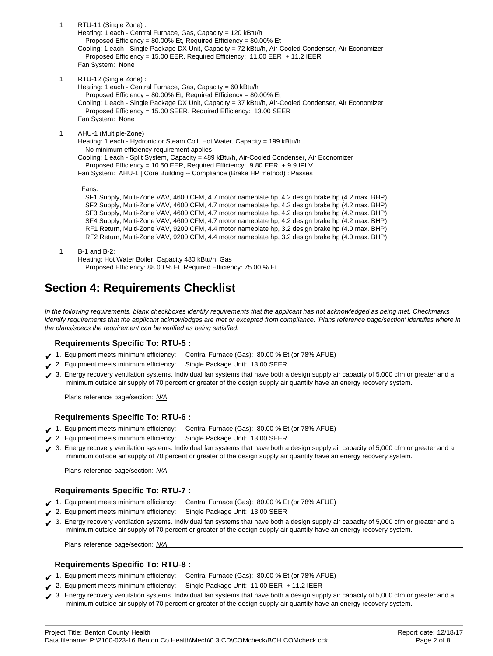1 RTU-11 (Single Zone) : Heating: 1 each - Central Furnace, Gas, Capacity = 120 kBtu/h Proposed Efficiency = 80.00% Et, Required Efficiency = 80.00% Et Cooling: 1 each - Single Package DX Unit, Capacity = 72 kBtu/h, Air-Cooled Condenser, Air Economizer Proposed Efficiency = 15.00 EER, Required Efficiency: 11.00 EER + 11.2 IEER Fan System: None 1 RTU-12 (Single Zone) : Heating: 1 each - Central Furnace, Gas, Capacity = 60 kBtu/h Proposed Efficiency = 80.00% Et, Required Efficiency = 80.00% Et Cooling: 1 each - Single Package DX Unit, Capacity = 37 kBtu/h, Air-Cooled Condenser, Air Economizer Proposed Efficiency = 15.00 SEER, Required Efficiency: 13.00 SEER Fan System: None 1 AHU-1 (Multiple-Zone) : Heating: 1 each - Hydronic or Steam Coil, Hot Water, Capacity = 199 kBtu/h No minimum efficiency requirement applies Cooling: 1 each - Split System, Capacity = 489 kBtu/h, Air-Cooled Condenser, Air Economizer Proposed Efficiency = 10.50 EER, Required Efficiency: 9.80 EER + 9.9 IPLV Fan System: AHU-1 | Core Building -- Compliance (Brake HP method) : Passes Fans: SF1 Supply, Multi-Zone VAV, 4600 CFM, 4.7 motor nameplate hp, 4.2 design brake hp (4.2 max. BHP) SF2 Supply, Multi-Zone VAV, 4600 CFM, 4.7 motor nameplate hp, 4.2 design brake hp (4.2 max. BHP) SF3 Supply, Multi-Zone VAV, 4600 CFM, 4.7 motor nameplate hp, 4.2 design brake hp (4.2 max. BHP) SF4 Supply, Multi-Zone VAV, 4600 CFM, 4.7 motor nameplate hp, 4.2 design brake hp (4.2 max. BHP) RF1 Return, Multi-Zone VAV, 9200 CFM, 4.4 motor nameplate hp, 3.2 design brake hp (4.0 max. BHP) RF2 Return, Multi-Zone VAV, 9200 CFM, 4.4 motor nameplate hp, 3.2 design brake hp (4.0 max. BHP) 1 B-1 and B-2:

Heating: Hot Water Boiler, Capacity 480 kBtu/h, Gas Proposed Efficiency: 88.00 % Et, Required Efficiency: 75.00 % Et

# **Section 4: Requirements Checklist**

In the following requirements, blank checkboxes identify requirements that the applicant has not acknowledged as being met. Checkmarks identify requirements that the applicant acknowledges are met or excepted from compliance. 'Plans reference page/section' identifies where in the plans/specs the requirement can be verified as being satisfied.

## **Requirements Specific To: RTU-5 :**

- ✔ 1. Equipment meets minimum efficiency: Central Furnace (Gas): 80.00 % Et (or 78% AFUE)
- 2. Equipment meets minimum efficiency: Single Package Unit: 13.00 SEER
- ◆ 3. Energy recovery ventilation systems. Individual fan systems that have both a design supply air capacity of 5,000 cfm or greater and a minimum outside air supply of 70 percent or greater of the design supply air quantity have an energy recovery system.

Plans reference page/section: N/A

## **Requirements Specific To: RTU-6 :**

- ✔ 1. Equipment meets minimum efficiency: Central Furnace (Gas): 80.00 % Et (or 78% AFUE)
- ✔ 2. Equipment meets minimum efficiency: Single Package Unit: 13.00 SEER
- ◆ 3. Energy recovery ventilation systems. Individual fan systems that have both a design supply air capacity of 5,000 cfm or greater and a minimum outside air supply of 70 percent or greater of the design supply air quantity have an energy recovery system.

Plans reference page/section: N/A

### **Requirements Specific To: RTU-7 :**

- ✔ 1. Equipment meets minimum efficiency: Central Furnace (Gas): 80.00 % Et (or 78% AFUE)
- 2. Equipment meets minimum efficiency: Single Package Unit: 13.00 SEER
- ✔ 3. Energy recovery ventilation systems. Individual fan systems that have both a design supply air capacity of 5,000 cfm or greater and a minimum outside air supply of 70 percent or greater of the design supply air quantity have an energy recovery system.

Plans reference page/section: N/A

### **Requirements Specific To: RTU-8 :**

- ✔ 1. Equipment meets minimum efficiency: Central Furnace (Gas): 80.00 % Et (or 78% AFUE)
- ◆ 2. Equipment meets minimum efficiency: Single Package Unit: 11.00 EER + 11.2 IEER
- ◆ 3. Energy recovery ventilation systems. Individual fan systems that have both a design supply air capacity of 5,000 cfm or greater and a minimum outside air supply of 70 percent or greater of the design supply air quantity have an energy recovery system.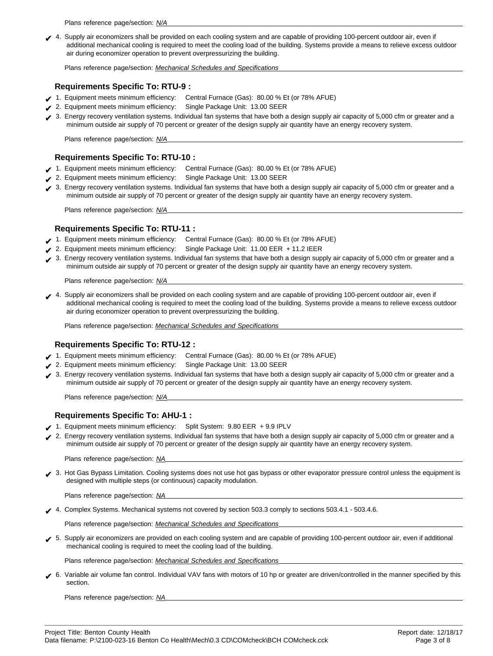Plans reference page/section: N/A

✔ 4. Supply air economizers shall be provided on each cooling system and are capable of providing 100-percent outdoor air, even if additional mechanical cooling is required to meet the cooling load of the building. Systems provide a means to relieve excess outdoor air during economizer operation to prevent overpressurizing the building.

Plans reference page/section: Mechanical Schedules and Specifications

### **Requirements Specific To: RTU-9 :**

- ✔ 1. Equipment meets minimum efficiency: Central Furnace (Gas): 80.00 % Et (or 78% AFUE)
- ✔ 2. Equipment meets minimum efficiency: Single Package Unit: 13.00 SEER
- ◆ 3. Energy recovery ventilation systems. Individual fan systems that have both a design supply air capacity of 5,000 cfm or greater and a minimum outside air supply of 70 percent or greater of the design supply air quantity have an energy recovery system.

Plans reference page/section: N/A

### **Requirements Specific To: RTU-10 :**

- ✔ 1. Equipment meets minimum efficiency: Central Furnace (Gas): 80.00 % Et (or 78% AFUE)
- ✔ 2. Equipment meets minimum efficiency: Single Package Unit: 13.00 SEER
- ◆ 3. Energy recovery ventilation systems. Individual fan systems that have both a design supply air capacity of 5,000 cfm or greater and a minimum outside air supply of 70 percent or greater of the design supply air quantity have an energy recovery system.

Plans reference page/section: N/A

#### **Requirements Specific To: RTU-11 :**

- ✔ 1. Equipment meets minimum efficiency: Central Furnace (Gas): 80.00 % Et (or 78% AFUE)
- ✔ 2. Equipment meets minimum efficiency: Single Package Unit: 11.00 EER + 11.2 IEER
- ◆ 3. Energy recovery ventilation systems. Individual fan systems that have both a design supply air capacity of 5,000 cfm or greater and a minimum outside air supply of 70 percent or greater of the design supply air quantity have an energy recovery system.

Plans reference page/section: N/A

✔ 4. Supply air economizers shall be provided on each cooling system and are capable of providing 100-percent outdoor air, even if additional mechanical cooling is required to meet the cooling load of the building. Systems provide a means to relieve excess outdoor air during economizer operation to prevent overpressurizing the building.

Plans reference page/section: Mechanical Schedules and Specifications

### **Requirements Specific To: RTU-12 :**

- ✔ 1. Equipment meets minimum efficiency: Central Furnace (Gas): 80.00 % Et (or 78% AFUE)
- ◆ 2. Equipment meets minimum efficiency: Single Package Unit: 13.00 SEER
- ◆ 3. Energy recovery ventilation systems. Individual fan systems that have both a design supply air capacity of 5,000 cfm or greater and a minimum outside air supply of 70 percent or greater of the design supply air quantity have an energy recovery system.

Plans reference page/section: N/A

### **Requirements Specific To: AHU-1 :**

- ✔ 1. Equipment meets minimum efficiency: Split System: 9.80 EER + 9.9 IPLV
- ✔ 2. Energy recovery ventilation systems. Individual fan systems that have both a design supply air capacity of 5,000 cfm or greater and a minimum outside air supply of 70 percent or greater of the design supply air quantity have an energy recovery system.

Plans reference page/section: NA

◆ 3. Hot Gas Bypass Limitation. Cooling systems does not use hot gas bypass or other evaporator pressure control unless the equipment is designed with multiple steps (or continuous) capacity modulation.

Plans reference page/section: NA

✔ 4. Complex Systems. Mechanical systems not covered by section 503.3 comply to sections 503.4.1 - 503.4.6.

Plans reference page/section: Mechanical Schedules and Specifications

✔ 5. Supply air economizers are provided on each cooling system and are capable of providing 100-percent outdoor air, even if additional mechanical cooling is required to meet the cooling load of the building.

Plans reference page/section: Mechanical Schedules and Specifications

✔ 6. Variable air volume fan control. Individual VAV fans with motors of 10 hp or greater are driven/controlled in the manner specified by this section.

Plans reference page/section: NA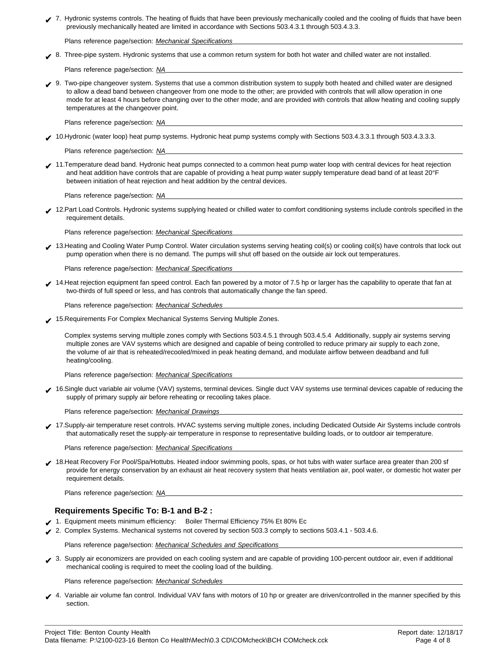| 7. Hydronic systems controls. The heating of fluids that have been previously mechanically cooled and the cooling of fluids that have been |
|--------------------------------------------------------------------------------------------------------------------------------------------|
| previously mechanically heated are limited in accordance with Sections 503.4.3.1 through 503.4.3.3.                                        |

Plans reference page/section: Mechanical Specifications

◆ 8. Three-pipe system. Hydronic systems that use a common return system for both hot water and chilled water are not installed.

Plans reference page/section: NA

◆ 9. Two-pipe changeover system. Systems that use a common distribution system to supply both heated and chilled water are designed to allow a dead band between changeover from one mode to the other; are provided with controls that will allow operation in one mode for at least 4 hours before changing over to the other mode; and are provided with controls that allow heating and cooling supply temperatures at the changeover point.

Plans reference page/section: NA

◆ 10.Hydronic (water loop) heat pump systems. Hydronic heat pump systems comply with Sections 503.4.3.3.1 through 503.4.3.3.3.

Plans reference page/section: NA

✔ 11.Temperature dead band. Hydronic heat pumps connected to a common heat pump water loop with central devices for heat rejection and heat addition have controls that are capable of providing a heat pump water supply temperature dead band of at least 20°F between initiation of heat rejection and heat addition by the central devices.

Plans reference page/section: NA

✔ 12.Part Load Controls. Hydronic systems supplying heated or chilled water to comfort conditioning systems include controls specified in the requirement details.

Plans reference page/section: Mechanical Specifications

✔ 13.Heating and Cooling Water Pump Control. Water circulation systems serving heating coil(s) or cooling coil(s) have controls that lock out pump operation when there is no demand. The pumps will shut off based on the outside air lock out temperatures.

Plans reference page/section: Mechanical Specifications

◆ 14.Heat rejection equipment fan speed control. Each fan powered by a motor of 7.5 hp or larger has the capability to operate that fan at two-thirds of full speed or less, and has controls that automatically change the fan speed.

Plans reference page/section: Mechanical Schedules

◆ 15.Requirements For Complex Mechanical Systems Serving Multiple Zones.

Complex systems serving multiple zones comply with Sections 503.4.5.1 through 503.4.5.4 Additionally, supply air systems serving multiple zones are VAV systems which are designed and capable of being controlled to reduce primary air supply to each zone, the volume of air that is reheated/recooled/mixed in peak heating demand, and modulate airflow between deadband and full heating/cooling.

Plans reference page/section: Mechanical Specifications

✔ 16.Single duct variable air volume (VAV) systems, terminal devices. Single duct VAV systems use terminal devices capable of reducing the supply of primary supply air before reheating or recooling takes place.

Plans reference page/section: Mechanical Drawings

✔ 17.Supply-air temperature reset controls. HVAC systems serving multiple zones, including Dedicated Outside Air Systems include controls that automatically reset the supply-air temperature in response to representative building loads, or to outdoor air temperature.

Plans reference page/section: Mechanical Specifications

✔ 18.Heat Recovery For Pool/Spa/Hottubs. Heated indoor swimming pools, spas, or hot tubs with water surface area greater than 200 sf provide for energy conservation by an exhaust air heat recovery system that heats ventilation air, pool water, or domestic hot water per requirement details.

Plans reference page/section: NA

#### **Requirements Specific To: B-1 and B-2 :**

- ✔ 1. Equipment meets minimum efficiency: Boiler Thermal Efficiency 75% Et 80% Ec
- ✔ 2. Complex Systems. Mechanical systems not covered by section 503.3 comply to sections 503.4.1 503.4.6.

Plans reference page/section: Mechanical Schedules and Specifications

◆ 3. Supply air economizers are provided on each cooling system and are capable of providing 100-percent outdoor air, even if additional mechanical cooling is required to meet the cooling load of the building.

Plans reference page/section: Mechanical Schedules

✔ 4. Variable air volume fan control. Individual VAV fans with motors of 10 hp or greater are driven/controlled in the manner specified by this section.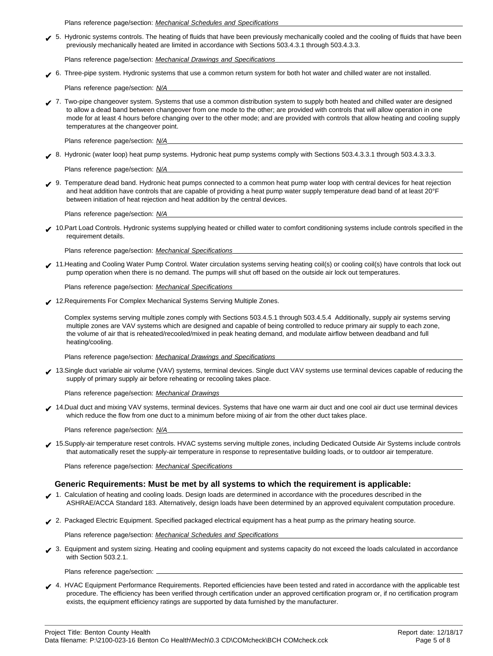Plans reference page/section: Mechanical Schedules and Specifications

✔ 5. Hydronic systems controls. The heating of fluids that have been previously mechanically cooled and the cooling of fluids that have been previously mechanically heated are limited in accordance with Sections 503.4.3.1 through 503.4.3.3.

Plans reference page/section: Mechanical Drawings and Specifications

✔ 6. Three-pipe system. Hydronic systems that use a common return system for both hot water and chilled water are not installed.

Plans reference page/section: N/A

✔ 7. Two-pipe changeover system. Systems that use a common distribution system to supply both heated and chilled water are designed to allow a dead band between changeover from one mode to the other; are provided with controls that will allow operation in one mode for at least 4 hours before changing over to the other mode; and are provided with controls that allow heating and cooling supply temperatures at the changeover point.

Plans reference page/section: N/A

✔ 8. Hydronic (water loop) heat pump systems. Hydronic heat pump systems comply with Sections 503.4.3.3.1 through 503.4.3.3.3.

Plans reference page/section: N/A

✔ 9. Temperature dead band. Hydronic heat pumps connected to a common heat pump water loop with central devices for heat rejection and heat addition have controls that are capable of providing a heat pump water supply temperature dead band of at least 20°F between initiation of heat rejection and heat addition by the central devices.

Plans reference page/section: N/A

✔ 10.Part Load Controls. Hydronic systems supplying heated or chilled water to comfort conditioning systems include controls specified in the requirement details.

Plans reference page/section: Mechanical Specifications

✔ 11.Heating and Cooling Water Pump Control. Water circulation systems serving heating coil(s) or cooling coil(s) have controls that lock out pump operation when there is no demand. The pumps will shut off based on the outside air lock out temperatures.

Plans reference page/section: Mechanical Specifications

◆ 12.Requirements For Complex Mechanical Systems Serving Multiple Zones.

Complex systems serving multiple zones comply with Sections 503.4.5.1 through 503.4.5.4 Additionally, supply air systems serving multiple zones are VAV systems which are designed and capable of being controlled to reduce primary air supply to each zone, the volume of air that is reheated/recooled/mixed in peak heating demand, and modulate airflow between deadband and full heating/cooling.

Plans reference page/section: Mechanical Drawings and Specifications

✔ 13.Single duct variable air volume (VAV) systems, terminal devices. Single duct VAV systems use terminal devices capable of reducing the supply of primary supply air before reheating or recooling takes place.

Plans reference page/section: Mechanical Drawings

◆ 14.Dual duct and mixing VAV systems, terminal devices. Systems that have one warm air duct and one cool air duct use terminal devices which reduce the flow from one duct to a minimum before mixing of air from the other duct takes place.

Plans reference page/section: N/A

◆ 15.Supply-air temperature reset controls. HVAC systems serving multiple zones, including Dedicated Outside Air Systems include controls that automatically reset the supply-air temperature in response to representative building loads, or to outdoor air temperature.

Plans reference page/section: Mechanical Specifications

#### **Generic Requirements: Must be met by all systems to which the requirement is applicable:**

- 1. Calculation of heating and cooling loads. Design loads are determined in accordance with the procedures described in the ASHRAE/ACCA Standard 183. Alternatively, design loads have been determined by an approved equivalent computation procedure.
- ✔ 2. Packaged Electric Equipment. Specified packaged electrical equipment has a heat pump as the primary heating source.

Plans reference page/section: Mechanical Schedules and Specifications

✔ 3. Equipment and system sizing. Heating and cooling equipment and systems capacity do not exceed the loads calculated in accordance with Section 503.2.1.

Plans reference page/section:

✔ 4. HVAC Equipment Performance Requirements. Reported efficiencies have been tested and rated in accordance with the applicable test procedure. The efficiency has been verified through certification under an approved certification program or, if no certification program exists, the equipment efficiency ratings are supported by data furnished by the manufacturer.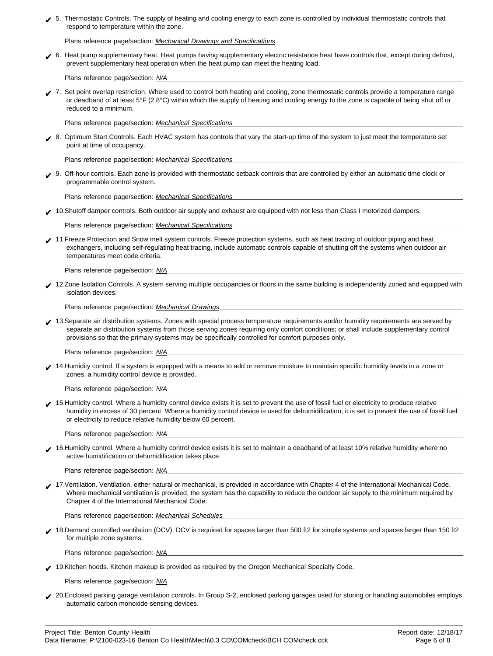✔ 5. Thermostatic Controls. The supply of heating and cooling energy to each zone is controlled by individual thermostatic controls that respond to temperature within the zone.

Plans reference page/section: Mechanical Drawings and Specifications

✔ 6. Heat pump supplementary heat. Heat pumps having supplementary electric resistance heat have controls that, except during defrost, prevent supplementary heat operation when the heat pump can meet the heating load.

Plans reference page/section: N/A

✔ 7. Set point overlap restriction. Where used to control both heating and cooling, zone thermostatic controls provide a temperature range or deadband of at least 5°F (2.8°C) within which the supply of heating and cooling energy to the zone is capable of being shut off or reduced to a minimum.

Plans reference page/section: Mechanical Specifications

✔ 8. Optimum Start Controls. Each HVAC system has controls that vary the start-up time of the system to just meet the temperature set point at time of occupancy.

Plans reference page/section: Mechanical Specifications

✔ 9. Off-hour controls. Each zone is provided with thermostatic setback controls that are controlled by either an automatic time clock or programmable control system.

Plans reference page/section: Mechanical Specifications

◆ 10.Shutoff damper controls. Both outdoor air supply and exhaust are equipped with not less than Class I motorized dampers.

Plans reference page/section: Mechanical Specifications

✔ 11.Freeze Protection and Snow melt system controls. Freeze protection systems, such as heat tracing of outdoor piping and heat exchangers, including self-regulating heat tracing, include automatic controls capable of shutting off the systems when outdoor air temperatures meet code criteria.

Plans reference page/section: N/A

◆ 12.Zone Isolation Controls. A system serving multiple occupancies or floors in the same building is independently zoned and equipped with isolation devices.

Plans reference page/section: Mechanical Drawings

✔ 13.Separate air distribution systems. Zones with special process temperature requirements and/or humidity requirements are served by separate air distribution systems from those serving zones requiring only comfort conditions; or shall include supplementary control provisions so that the primary systems may be specifically controlled for comfort purposes only.

Plans reference page/section: N/A

✔ 14.Humidity control. If a system is equipped with a means to add or remove moisture to maintain specific humidity levels in a zone or zones, a humidity control device is provided.

Plans reference page/section: N/A

✔ 15.Humidity control. Where a humidity control device exists it is set to prevent the use of fossil fuel or electricity to produce relative humidity in excess of 30 percent. Where a humidity control device is used for dehumidification, it is set to prevent the use of fossil fuel or electricity to reduce relative humidity below 60 percent.

Plans reference page/section: N/A

◆ 16.Humidity control. Where a humidity control device exists it is set to maintain a deadband of at least 10% relative humidity where no active humidification or dehumidification takes place.

Plans reference page/section: N/A

✔ 17.Ventilation. Ventilation, either natural or mechanical, is provided in accordance with Chapter 4 of the International Mechanical Code. Where mechanical ventilation is provided, the system has the capability to reduce the outdoor air supply to the minimum required by Chapter 4 of the International Mechanical Code.

Plans reference page/section: Mechanical Schedules

✔ 18.Demand controlled ventilation (DCV). DCV is required for spaces larger than 500 ft2 for simple systems and spaces larger than 150 ft2 for multiple zone systems.

Plans reference page/section: N/A

✔ 19.Kitchen hoods. Kitchen makeup is provided as required by the Oregon Mechanical Specialty Code.

Plans reference page/section: N/A

✔ 20.Enclosed parking garage ventilation controls. In Group S-2, enclosed parking garages used for storing or handling automobiles employs automatic carbon monoxide sensing devices.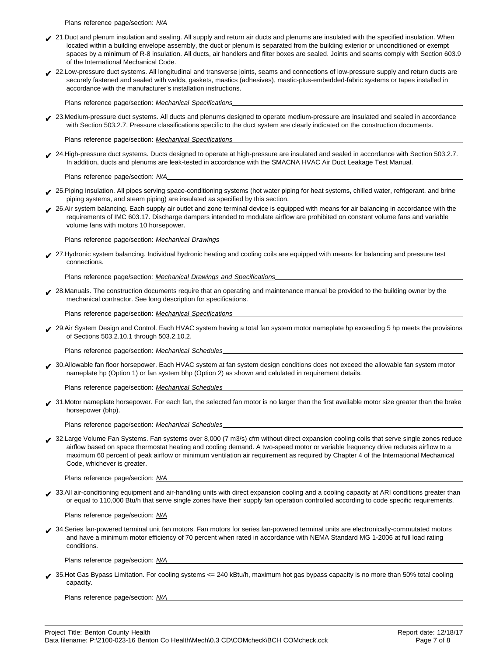Plans reference page/section: N/A

- ◆ 21.Duct and plenum insulation and sealing. All supply and return air ducts and plenums are insulated with the specified insulation. When located within a building envelope assembly, the duct or plenum is separated from the building exterior or unconditioned or exempt spaces by a minimum of R-8 insulation. All ducts, air handlers and filter boxes are sealed. Joints and seams comply with Section 603.9 of the International Mechanical Code.
- ✔ 22.Low-pressure duct systems. All longitudinal and transverse joints, seams and connections of low-pressure supply and return ducts are securely fastened and sealed with welds, gaskets, mastics (adhesives), mastic-plus-embedded-fabric systems or tapes installed in accordance with the manufacturer's installation instructions.

Plans reference page/section: Mechanical Specifications

✔ 23.Medium-pressure duct systems. All ducts and plenums designed to operate medium-pressure are insulated and sealed in accordance with Section 503.2.7. Pressure classifications specific to the duct system are clearly indicated on the construction documents.

Plans reference page/section: Mechanical Specifications

✔ 24.High-pressure duct systems. Ducts designed to operate at high-pressure are insulated and sealed in accordance with Section 503.2.7. In addition, ducts and plenums are leak-tested in accordance with the SMACNA HVAC Air Duct Leakage Test Manual.

Plans reference page/section: N/A

- ✔ 25.Piping Insulation. All pipes serving space-conditioning systems (hot water piping for heat systems, chilled water, refrigerant, and brine piping systems, and steam piping) are insulated as specified by this section.
- ✔ 26.Air system balancing. Each supply air outlet and zone terminal device is equipped with means for air balancing in accordance with the requirements of IMC 603.17. Discharge dampers intended to modulate airflow are prohibited on constant volume fans and variable volume fans with motors 10 horsepower.

Plans reference page/section: Mechanical Drawings

✔ 27.Hydronic system balancing. Individual hydronic heating and cooling coils are equipped with means for balancing and pressure test connections.

Plans reference page/section: Mechanical Drawings and Specifications

◆ 28.Manuals. The construction documents require that an operating and maintenance manual be provided to the building owner by the mechanical contractor. See long description for specifications.

Plans reference page/section: Mechanical Specifications

◆ 29.Air System Design and Control. Each HVAC system having a total fan system motor nameplate hp exceeding 5 hp meets the provisions of Sections 503.2.10.1 through 503.2.10.2.

Plans reference page/section: Mechanical Schedules

✔ 30.Allowable fan floor horsepower. Each HVAC system at fan system design conditions does not exceed the allowable fan system motor nameplate hp (Option 1) or fan system bhp (Option 2) as shown and calulated in requirement details.

Plans reference page/section: Mechanical Schedules

◆ 31.Motor nameplate horsepower. For each fan, the selected fan motor is no larger than the first available motor size greater than the brake horsepower (bhp).

Plans reference page/section: Mechanical Schedules

✔ 32.Large Volume Fan Systems. Fan systems over 8,000 (7 m3/s) cfm without direct expansion cooling coils that serve single zones reduce airflow based on space thermostat heating and cooling demand. A two-speed motor or variable frequency drive reduces airflow to a maximum 60 percent of peak airflow or minimum ventilation air requirement as required by Chapter 4 of the International Mechanical Code, whichever is greater.

Plans reference page/section: N/A

◆ 33.All air-conditioning equipment and air-handling units with direct expansion cooling and a cooling capacity at ARI conditions greater than or equal to 110,000 Btu/h that serve single zones have their supply fan operation controlled according to code specific requirements.

Plans reference page/section: N/A

✔ 34.Series fan-powered terminal unit fan motors. Fan motors for series fan-powered terminal units are electronically-commutated motors and have a minimum motor efficiency of 70 percent when rated in accordance with NEMA Standard MG 1-2006 at full load rating conditions.

Plans reference page/section: N/A

✔ 35.Hot Gas Bypass Limitation. For cooling systems <= 240 kBtu/h, maximum hot gas bypass capacity is no more than 50% total cooling capacity.

Plans reference page/section: N/A